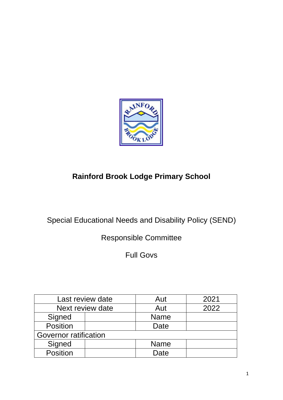

# **Rainford Brook Lodge Primary School**

Special Educational Needs and Disability Policy (SEND)

Responsible Committee

Full Govs

| Last review date             |  | Aut         | 2021 |  |
|------------------------------|--|-------------|------|--|
| Next review date             |  | Aut         | 2022 |  |
| Signed                       |  | <b>Name</b> |      |  |
| Position                     |  | Date        |      |  |
| <b>Governor ratification</b> |  |             |      |  |
| Signed                       |  | <b>Name</b> |      |  |
| Position                     |  | Date        |      |  |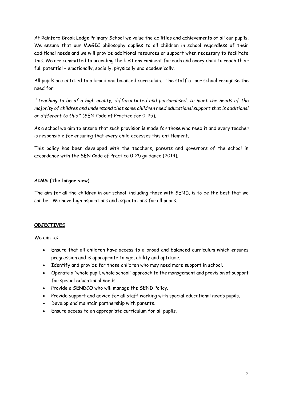At Rainford Brook Lodge Primary School we value the abilities and achievements of all our pupils. We ensure that our MAGIC philosophy applies to all children in school regardless of their additional needs and we will provide additional resources or support when necessary to facilitate this. We are committed to providing the best environment for each and every child to reach their full potential – emotionally, socially, physically and academically.

All pupils are entitled to a broad and balanced curriculum. The staff at our school recognise the need for:

"*Teaching to be of a high quality, differentiated and personalised, to meet the needs of the majority of children and understand that some children need educational support that is additional or different to this* " (SEN Code of Practice for 0-25).

As a school we aim to ensure that such provision is made for those who need it and every teacher is responsible for ensuring that every child accesses this entitlement.

This policy has been developed with the teachers, parents and governors of the school in accordance with the SEN Code of Practice 0-25 guidance (2014).

## **AIMS (The longer view)**

The aim for all the children in our school, including those with SEND, is to be the best that we can be. We have high aspirations and expectations for all pupils.

# **OBJECTIVES**

We aim to:

- Ensure that all children have access to a broad and balanced curriculum which ensures progression and is appropriate to age, ability and aptitude.
- Identify and provide for those children who may need more support in school.
- Operate a "whole pupil, whole school" approach to the management and provision of support for special educational needs.
- Provide a SENDCO who will manage the SEND Policy.
- Provide support and advice for all staff working with special educational needs pupils.
- Develop and maintain partnership with parents.
- Ensure access to an appropriate curriculum for all pupils.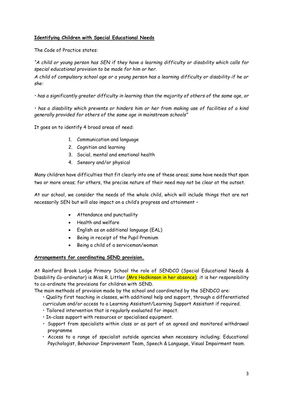## **Identifying Children with Special Educational Needs**

The Code of Practice states:

*"A child or young person has SEN if they have a learning difficulty or disability which calls for special educational provision to be made for him or her.*

*A child of compulsory school age or a young person has a learning difficulty or disability if he or she:*

*• has a significantly greater difficulty in learning than the majority of others of the same age, or*

*• has a disability which prevents or hinders him or her from making use of facilities of a kind generally provided for others of the same age in mainstream schools"*

It goes on to identify 4 broad areas of need:

- 1. Communication and language
- 2. Cognition and learning
- 3. Social, mental and emotional health
- 4. Sensory and/or physical

Many children have difficulties that fit clearly into one of these areas; some have needs that span two or more areas; for others, the precise nature of their need may not be clear at the outset.

At our school, we consider the needs of the whole child, which will include things that are not necessarily SEN but will also impact on a child's progress and attainment –

- Attendance and punctuality
- Health and welfare
- English as an additional language (EAL)
- Being in receipt of the Pupil Premium
- Being a child of a serviceman/woman

#### **Arrangements for coordinating SEND provision.**

At Rainford Brook Lodge Primary School the role of SENDCO (Special Educational Needs & Disability Co-ordinator) is Miss R. Littler (Mrs Hodkinson in her absence); it is her responsibility to co-ordinate the provisions for children with SEND.

The main methods of provision made by the school and coordinated by the SENDCO are:

• Quality first teaching in classes, with additional help and support, through a differentiated curriculum and/or access to a Learning Assistant/Learning Support Assistant if required.

- Tailored intervention that is regularly evaluated for impact.
- In-class support with resources or specialised equipment.
- Support from specialists within class or as part of an agreed and monitored withdrawal programme
- Access to a range of specialist outside agencies when necessary including; Educational Psychologist, Behaviour Improvement Team, Speech & Language, Visual Impairment team.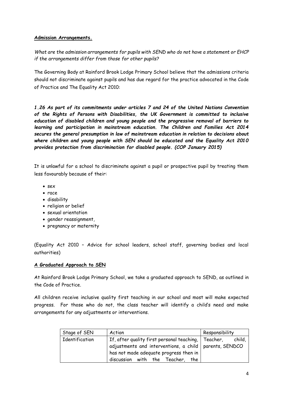#### **Admission Arrangements.**

*What are the admission arrangements for pupils with SEND who do not have a statement or EHCP if the arrangements differ from those for other pupils?*

The Governing Body at Rainford Brook Lodge Primary School believe that the admissions criteria should not discriminate against pupils and has due regard for the practice advocated in the Code of Practice and The Equality Act 2010:

*1.26 As part of its commitments under articles 7 and 24 of the United Nations Convention of the Rights of Persons with Disabilities, the UK Government is committed to inclusive education of disabled children and young people and the progressive removal of barriers to learning and participation in mainstream education. The Children and Families Act 2014 secures the general presumption in law of mainstream education in relation to decisions about where children and young people with SEN should be educated and the Equality Act 2010 provides protection from discrimination for disabled people. (COP January 2015)*

It is unlawful for a school to discriminate against a pupil or prospective pupil by treating them less favourably because of their:

- sex
- race
- disability
- religion or belief
- sexual orientation
- gender reassignment,
- pregnancy or maternity

(Equality Act 2010 – Advice for school leaders, school staff, governing bodies and local authorities)

#### **A Graduated Approach to SEN**

At Rainford Brook Lodge Primary School, we take a graduated approach to SEND, as outlined in the Code of Practice.

All children receive inclusive quality first teaching in our school and most will make expected progress. For those who do not, the class teacher will identify a child's need and make arrangements for any adjustments or interventions.

| Stage of SEN   | Action                                                                                                                                                                                                  | Responsibility |
|----------------|---------------------------------------------------------------------------------------------------------------------------------------------------------------------------------------------------------|----------------|
| Identification | If, after quality first personal teaching, $\mid$ Teacher,<br>adjustments and interventions, a child   parents, SENDCO<br>has not made adequate progress then in<br>discussion with the Teacher,<br>the | child,         |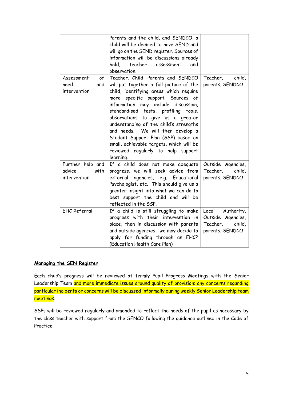|                                                    | Parents and the child, and SENDCO, a<br>child will be deemed to have SEND and<br>will go on the SEND register. Sources of<br>information will be discussions already<br>held.<br>teacher<br>assessment<br>and<br>observation.                                                                                                                                                                                                                                                                            |                                                                                   |
|----------------------------------------------------|----------------------------------------------------------------------------------------------------------------------------------------------------------------------------------------------------------------------------------------------------------------------------------------------------------------------------------------------------------------------------------------------------------------------------------------------------------------------------------------------------------|-----------------------------------------------------------------------------------|
| Assessment<br>of<br>need<br>and<br>intervention    | Teacher, Child, Parents and SENDCO<br>will put together a full picture of the<br>child, identifying areas which require<br>more specific support. Sources of<br>information may include discussion,<br>standardised tests, profiling<br>tools,<br>observations to give us a greater<br>understanding of the child's strengths<br>and needs. We will then develop a<br>Student Support Plan (SSP) based on<br>small, achievable targets, which will be<br>reviewed regularly to help support<br>learning. | Teacher,<br>child,<br>parents, SENDCO                                             |
| Further help and<br>advice<br>with<br>intervention | If a child does not make adequate<br>progress, we will seek advice from<br>agencies, e.g. Educational<br>external<br>Psychologist, etc. This should give us a<br>greater insight into what we can do to<br>best support the child and will be<br>reflected in the SSP.                                                                                                                                                                                                                                   | Outside Agencies,<br>Teacher,<br>child,<br>parents, SENDCO                        |
| <b>EHC Referral</b>                                | If a child is still struggling to make<br>progress with their intervention in<br>place, then in discussion with parents<br>and outside agencies, we may decide to<br>apply for funding through an EHCP<br>(Education Health Care Plan)                                                                                                                                                                                                                                                                   | Authority,<br>Local<br>Outside Agencies,<br>child,<br>Teacher,<br>parents, SENDCO |

## **Managing the SEN Register**

Each child's progress will be reviewed at termly Pupil Progress Meetings with the Senior Leadership Team and more immediate issues around quality of provision; any concerns regarding particular incidents or concerns will be discussed informally during weekly Senior Leadership team meetings.

SSPs will be reviewed regularly and amended to reflect the needs of the pupil as necessary by the class teacher with support from the SENCO following the guidance outlined in the Code of Practice.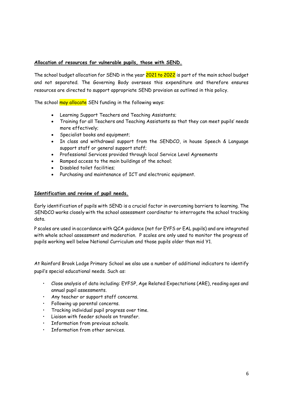## **Allocation of resources for vulnerable pupils, those with SEND.**

The school budget allocation for SEND in the year 2021 to 2022 is part of the main school budget and not separated. The Governing Body oversees this expenditure and therefore ensures resources are directed to support appropriate SEND provision as outlined in this policy.

The school may allocate SEN funding in the following ways:

- Learning Support Teachers and Teaching Assistants;
- Training for all Teachers and Teaching Assistants so that they can meet pupils' needs more effectively;
- Specialist books and equipment;
- In class and withdrawal support from the SENDCO, in house Speech & Language support staff or general support staff;
- Professional Services provided through local Service Level Agreements
- Ramped access to the main buildings of the school;
- Disabled toilet facilities;
- Purchasing and maintenance of ICT and electronic equipment.

#### **Identification and review of pupil needs.**

Early identification of pupils with SEND is a crucial factor in overcoming barriers to learning. The SENDCO works closely with the school assessment coordinator to interrogate the school tracking data.

P scales are used in accordance with QCA guidance (not for EYFS or EAL pupils) and are integrated with whole school assessment and moderation. P scales are only used to monitor the progress of pupils working well below National Curriculum and those pupils older than mid Y1.

At Rainford Brook Lodge Primary School we also use a number of additional indicators to identify pupil's special educational needs. Such as:

- Close analysis of data including: EYFSP, Age Related Expectations (ARE), reading ages and annual pupil assessments.
- Any teacher or support staff concerns.
- Following up parental concerns.
- Tracking individual pupil progress over time.
- Liaison with feeder schools on transfer.
- Information from previous schools.
- Information from other services.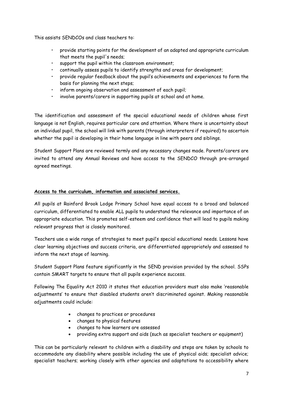This assists SENDCOs and class teachers to:

- provide starting points for the development of an adapted and appropriate curriculum that meets the pupil's needs;
- support the pupil within the classroom environment;
- continually assess pupils to identify strengths and areas for development;
- provide regular feedback about the pupil's achievements and experiences to form the basis for planning the next steps;
- inform ongoing observation and assessment of each pupil;
- involve parents/carers in supporting pupils at school and at home.

The identification and assessment of the special educational needs of children whose first language is not English, requires particular care and attention. Where there is uncertainty about an individual pupil, the school will link with parents (through interpreters if required) to ascertain whether the pupil is developing in their home language in line with peers and siblings.

Student Support Plans are reviewed termly and any necessary changes made. Parents/carers are invited to attend any Annual Reviews and have access to the SENDCO through pre-arranged agreed meetings.

#### **Access to the curriculum, information and associated services.**

All pupils at Rainford Brook Lodge Primary School have equal access to a broad and balanced curriculum, differentiated to enable ALL pupils to understand the relevance and importance of an appropriate education. This promotes self-esteem and confidence that will lead to pupils making relevant progress that is closely monitored.

Teachers use a wide range of strategies to meet pupil's special educational needs. Lessons have clear learning objectives and success criteria, are differentiated appropriately and assessed to inform the next stage of learning.

Student Support Plans feature significantly in the SEND provision provided by the school. SSPs contain SMART targets to ensure that all pupils experience success.

Following The Equality Act 2010 it states that education providers must also make 'reasonable adjustments' to ensure that disabled students aren't discriminated against. Making reasonable adjustments could include:

- changes to practices or procedures
- changes to physical features
- changes to how learners are assessed
- providing extra support and aids (such as specialist teachers or equipment)

This can be particularly relevant to children with a disability and steps are taken by schools to accommodate any disability where possible including the use of physical aids; specialist advice; specialist teachers; working closely with other agencies and adaptations to accessibility where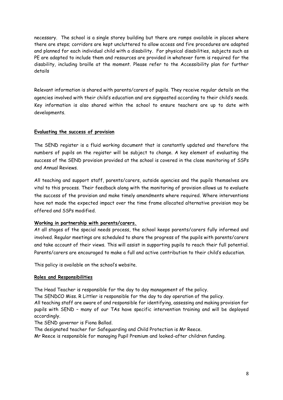necessary. The school is a single storey building but there are ramps available in places where there are steps; corridors are kept uncluttered to allow access and fire procedures are adapted and planned for each individual child with a disability. For physical disabilities, subjects such as PE are adapted to include them and resources are provided in whatever form is required for the disability, including braille at the moment. Please refer to the Accessibility plan for further details

Relevant information is shared with parents/carers of pupils. They receive regular details on the agencies involved with their child's education and are signposted according to their child's needs. Key information is also shared within the school to ensure teachers are up to date with developments.

#### **Evaluating the success of provision**

The SEND register is a fluid working document that is constantly updated and therefore the numbers of pupils on the register will be subject to change. A key element of evaluating the success of the SEND provision provided at the school is covered in the close monitoring of SSPs and Annual Reviews.

All teaching and support staff, parents/carers, outside agencies and the pupils themselves are vital to this process. Their feedback along with the monitoring of provision allows us to evaluate the success of the provision and make timely amendments where required. Where interventions have not made the expected impact over the time frame allocated alternative provision may be offered and SSPs modified.

# **Working in partnership with parents/carers.**

At all stages of the special needs process, the school keeps parents/carers fully informed and involved. Regular meetings are scheduled to share the progress of the pupils with parents/carers and take account of their views. This will assist in supporting pupils to reach their full potential. Parents/carers are encouraged to make a full and active contribution to their child's education.

This policy is available on the school's website.

#### **Roles and Responsibilities**

The Head Teacher is responsible for the day to day management of the policy.

The SENDCO Miss. R Littler is responsible for the day to day operation of the policy.

All teaching staff are aware of and responsible for identifying, assessing and making provision for pupils with SEND – many of our TAs have specific intervention training and will be deployed accordingly.

The SEND governor is Fiona Ballad.

The designated teacher for Safeguarding and Child Protection is Mr Reece.

Mr Reece is responsible for managing Pupil Premium and looked-after children funding.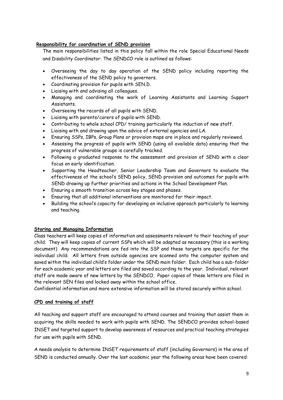## **Responsibility for coordination of SEND provision**

The main responsibilities listed in this policy fall within the role Special Educational Needs and Disability Coordinator. The SENDCO role is outlined as follows:

- Overseeing the day to day operation of the SEND policy including reporting the effectiveness of the SEND policy to governors.
- Coordinating provision for pupils with SEN.D.
- Liaising with and advising all colleagues.
- Managing and coordinating the work of Learning Assistants and Learning Support Assistants.
- Overseeing the records of all pupils with SEND.
- Liaising with parents/carers of pupils with SEND.
- Contributing to whole school CPD/ training particularly the induction of new staff.
- Liaising with and drawing upon the advice of external agencies and LA.
- Ensuring SSPs, IBPs, Group Plans or provision maps are in place and regularly reviewed.
- Assessing the progress of pupils with SEND (using all available data) ensuring that the progress of vulnerable groups is carefully tracked.
- Following a graduated response to the assessment and provision of SEND with a clear focus on early identification.
- Supporting the Headteacher, Senior Leadership Team and Governors to evaluate the effectiveness of the school's SEND policy, SEND provision and outcomes for pupils with SEND drawing up further priorities and actions in the School Development Plan.
- Ensuring a smooth transition across key stages and phases.
- Ensuring that all additional interventions are monitored for their impact.
- Building the school's capacity for developing an inclusive approach particularly to learning and teaching.

# **Storing and Managing Information**

Class teachers will keep copies of information and assessments relevant to their teaching of your child. They will keep copies of current SSPs which will be adapted as necessary (this is a working document) Any recommendations are fed into the SSP and these targets are specific for the individual child. All letters from outside agencies are scanned onto the computer system and saved within the individual child's folder under the SEND main folder. Each child has a sub-folder for each academic year and letters are filed and saved according to the year. Individual, relevant staff are made aware of new letters by the SENDCO. Paper copies of these letters are filed in the relevant SEN files and locked away within the school office.

Confidential information and more extensive information will be stored securely within school.

# **CPD and training of staff**

All teaching and support staff are encouraged to attend courses and training that assist them in acquiring the skills needed to work with pupils with SEND. The SENDCO provides school-based INSET and targeted support to develop awareness of resources and practical teaching strategies for use with pupils with SEND.

A needs analysis to determine INSET requirements of staff (including Governors) in the area of SEND is conducted annually. Over the last academic year the following areas have been covered: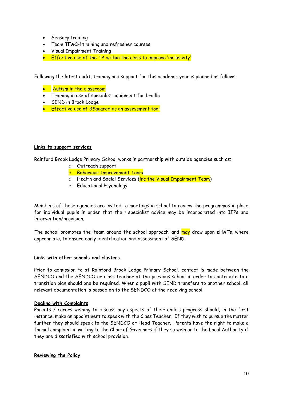- Sensory training
- Team TEACH training and refresher courses.
- Visual Impairment Training
- Effective use of the TA within the class to improve 'inclusivity'

Following the latest audit, training and support for this academic year is planned as follows:

- Autism in the classroom
- Training in use of specialist equipment for braille
- SEND in Brook Lodge
- Effective use of BSquared as an assessment tool

#### **Links to support services**

Rainford Brook Lodge Primary School works in partnership with outside agencies such as:

- o Outreach support
- o Behaviour Improvement Team
- o Health and Social Services (inc the Visual Impairment Team)
- o Educational Psychology

Members of these agencies are invited to meetings in school to review the programmes in place for individual pupils in order that their specialist advice may be incorporated into IEPs and intervention/provision.

The school promotes the 'team around the school approach' and may draw upon eHATs, where appropriate, to ensure early identification and assessment of SEND.

#### **Links with other schools and clusters**

Prior to admission to at Rainford Brook Lodge Primary School, contact is made between the SENDCO and the SENDCO or class teacher at the previous school in order to contribute to a transition plan should one be required. When a pupil with SEND transfers to another school, all relevant documentation is passed on to the SENDCO at the receiving school.

#### **Dealing with Complaints**

Parents / carers wishing to discuss any aspects of their child's progress should, in the first instance, make an appointment to speak with the Class Teacher. If they wish to pursue the matter further they should speak to the SENDCO or Head Teacher. Parents have the right to make a formal complaint in writing to the Chair of Governors if they so wish or to the Local Authority if they are dissatisfied with school provision.

#### **Reviewing the Policy**